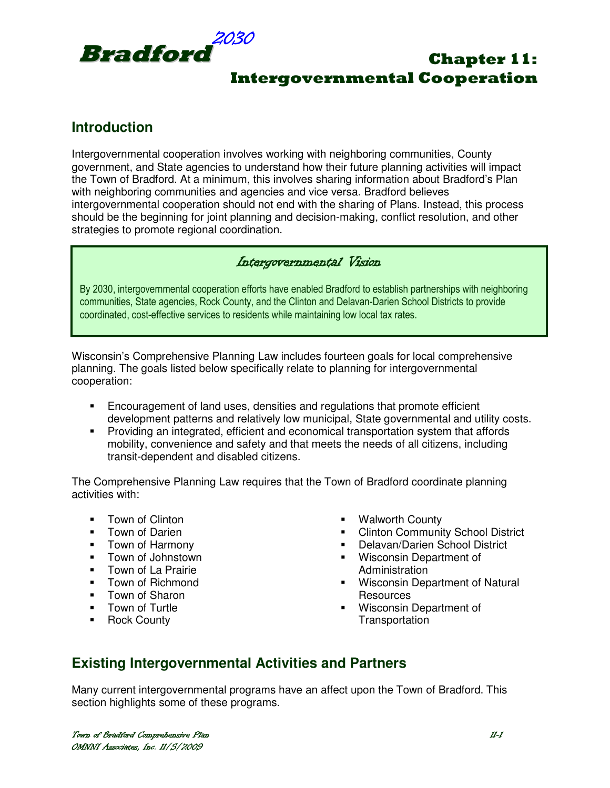

# Chapter 11: Intergovernmental Cooperation

# **Introduction**

Intergovernmental cooperation involves working with neighboring communities, County government, and State agencies to understand how their future planning activities will impact the Town of Bradford. At a minimum, this involves sharing information about Bradford's Plan with neighboring communities and agencies and vice versa. Bradford believes intergovernmental cooperation should not end with the sharing of Plans. Instead, this process should be the beginning for joint planning and decision-making, conflict resolution, and other strategies to promote regional coordination.

### Intergovernmental Vision

By 2030, intergovernmental cooperation efforts have enabled Bradford to establish partnerships with neighboring communities, State agencies, Rock County, and the Clinton and Delavan-Darien School Districts to provide coordinated, cost-effective services to residents while maintaining low local tax rates.

Wisconsin's Comprehensive Planning Law includes fourteen goals for local comprehensive planning. The goals listed below specifically relate to planning for intergovernmental cooperation:

- Encouragement of land uses, densities and regulations that promote efficient development patterns and relatively low municipal, State governmental and utility costs.
- Providing an integrated, efficient and economical transportation system that affords mobility, convenience and safety and that meets the needs of all citizens, including transit-dependent and disabled citizens.

The Comprehensive Planning Law requires that the Town of Bradford coordinate planning activities with:

- **Town of Clinton**
- **Town of Darien**
- **Town of Harmony**
- **-** Town of Johnstown
- **Town of La Prairie**
- **Town of Richmond**
- **Town of Sharon**
- **Town of Turtle**
- **-** Rock County
- Walworth County
- **EXECLINTOM Community School District**
- Delavan/Darien School District
- **Wisconsin Department of Administration**
- **Wisconsin Department of Natural Resources**
- Wisconsin Department of **Transportation**

# **Existing Intergovernmental Activities and Partners**

Many current intergovernmental programs have an affect upon the Town of Bradford. This section highlights some of these programs.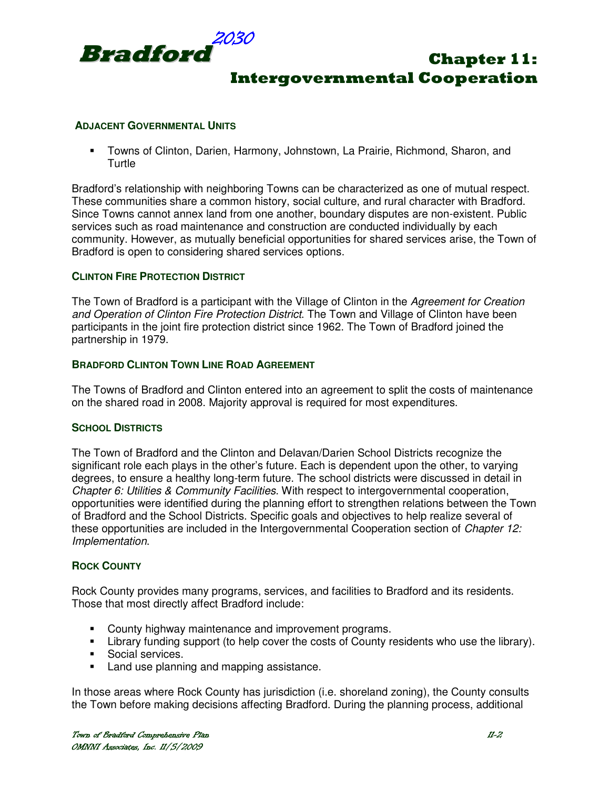

# Chapter 11: Intergovernmental Cooperation

#### **ADJACENT GOVERNMENTAL UNITS**

 Towns of Clinton, Darien, Harmony, Johnstown, La Prairie, Richmond, Sharon, and **Turtle** 

Bradford's relationship with neighboring Towns can be characterized as one of mutual respect. These communities share a common history, social culture, and rural character with Bradford. Since Towns cannot annex land from one another, boundary disputes are non-existent. Public services such as road maintenance and construction are conducted individually by each community. However, as mutually beneficial opportunities for shared services arise, the Town of Bradford is open to considering shared services options.

#### **CLINTON FIRE PROTECTION DISTRICT**

The Town of Bradford is a participant with the Village of Clinton in the Agreement for Creation and Operation of Clinton Fire Protection District. The Town and Village of Clinton have been participants in the joint fire protection district since 1962. The Town of Bradford joined the partnership in 1979.

#### **BRADFORD CLINTON TOWN LINE ROAD AGREEMENT**

The Towns of Bradford and Clinton entered into an agreement to split the costs of maintenance on the shared road in 2008. Majority approval is required for most expenditures.

#### **SCHOOL DISTRICTS**

The Town of Bradford and the Clinton and Delavan/Darien School Districts recognize the significant role each plays in the other's future. Each is dependent upon the other, to varying degrees, to ensure a healthy long-term future. The school districts were discussed in detail in Chapter 6: Utilities & Community Facilities. With respect to intergovernmental cooperation, opportunities were identified during the planning effort to strengthen relations between the Town of Bradford and the School Districts. Specific goals and objectives to help realize several of these opportunities are included in the Intergovernmental Cooperation section of *Chapter 12:* Implementation.

#### **ROCK COUNTY**

Rock County provides many programs, services, and facilities to Bradford and its residents. Those that most directly affect Bradford include:

- **County highway maintenance and improvement programs.**
- Library funding support (to help cover the costs of County residents who use the library).
- **Social services.**
- **Land use planning and mapping assistance.**

In those areas where Rock County has jurisdiction (i.e. shoreland zoning), the County consults the Town before making decisions affecting Bradford. During the planning process, additional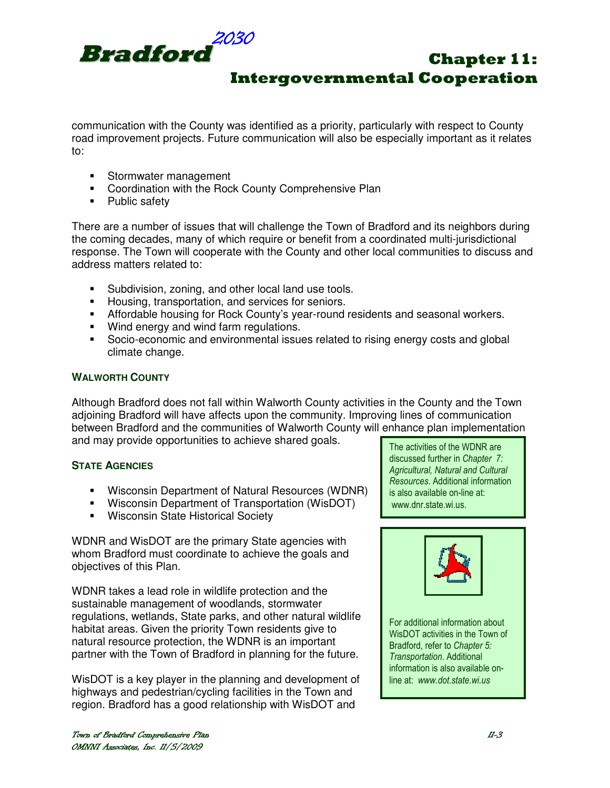

communication with the County was identified as a priority, particularly with respect to County road improvement projects. Future communication will also be especially important as it relates to:

- **Stormwater management**
- **EXECO** Coordination with the Rock County Comprehensive Plan
- Public safety

There are a number of issues that will challenge the Town of Bradford and its neighbors during the coming decades, many of which require or benefit from a coordinated multi-jurisdictional response. The Town will cooperate with the County and other local communities to discuss and address matters related to:

- Subdivision, zoning, and other local land use tools.
- **Housing, transportation, and services for seniors.**
- Affordable housing for Rock County's year-round residents and seasonal workers.
- **Wind energy and wind farm regulations.**
- Socio-economic and environmental issues related to rising energy costs and global climate change.

#### **WALWORTH COUNTY**

Although Bradford does not fall within Walworth County activities in the County and the Town adjoining Bradford will have affects upon the community. Improving lines of communication between Bradford and the communities of Walworth County will enhance plan implementation and may provide opportunities to achieve shared goals.

#### **STATE AGENCIES**

- Wisconsin Department of Natural Resources (WDNR)
- Wisconsin Department of Transportation (WisDOT)
- **Wisconsin State Historical Society**

WDNR and WisDOT are the primary State agencies with whom Bradford must coordinate to achieve the goals and objectives of this Plan.

WDNR takes a lead role in wildlife protection and the sustainable management of woodlands, stormwater regulations, wetlands, State parks, and other natural wildlife habitat areas. Given the priority Town residents give to natural resource protection, the WDNR is an important partner with the Town of Bradford in planning for the future.

WisDOT is a key player in the planning and development of highways and pedestrian/cycling facilities in the Town and region. Bradford has a good relationship with WisDOT and

The activities of the WDNR are discussed further in Chapter 7: Agricultural, Natural and Cultural Resources. Additional information is also available on-line at: www.dnr.state.wi.us.



For additional information about WisDOT activities in the Town of Bradford, refer to Chapter 5: Transportation. Additional information is also available online at: www.dot.state.wi.us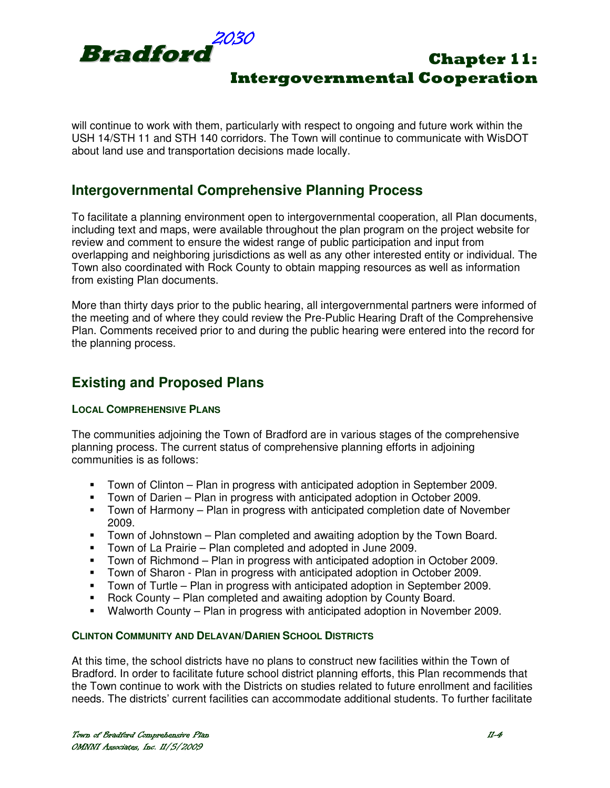

will continue to work with them, particularly with respect to ongoing and future work within the USH 14/STH 11 and STH 140 corridors. The Town will continue to communicate with WisDOT about land use and transportation decisions made locally.

## **Intergovernmental Comprehensive Planning Process**

To facilitate a planning environment open to intergovernmental cooperation, all Plan documents, including text and maps, were available throughout the plan program on the project website for review and comment to ensure the widest range of public participation and input from overlapping and neighboring jurisdictions as well as any other interested entity or individual. The Town also coordinated with Rock County to obtain mapping resources as well as information from existing Plan documents.

More than thirty days prior to the public hearing, all intergovernmental partners were informed of the meeting and of where they could review the Pre-Public Hearing Draft of the Comprehensive Plan. Comments received prior to and during the public hearing were entered into the record for the planning process.

# **Existing and Proposed Plans**

#### **LOCAL COMPREHENSIVE PLANS**

The communities adjoining the Town of Bradford are in various stages of the comprehensive planning process. The current status of comprehensive planning efforts in adjoining communities is as follows:

- Town of Clinton Plan in progress with anticipated adoption in September 2009.
- Town of Darien Plan in progress with anticipated adoption in October 2009.
- **Town of Harmony Plan in progress with anticipated completion date of November** 2009.
- Town of Johnstown Plan completed and awaiting adoption by the Town Board.
- Town of La Prairie Plan completed and adopted in June 2009.
- Town of Richmond Plan in progress with anticipated adoption in October 2009.<br>Town of Sharon Plan in progress with anticipated adoption in October 2009.
- Town of Sharon Plan in progress with anticipated adoption in October 2009.
- Town of Turtle Plan in progress with anticipated adoption in September 2009.
- Rock County Plan completed and awaiting adoption by County Board.
- Walworth County Plan in progress with anticipated adoption in November 2009.

### **CLINTON COMMUNITY AND DELAVAN/DARIEN SCHOOL DISTRICTS**

At this time, the school districts have no plans to construct new facilities within the Town of Bradford. In order to facilitate future school district planning efforts, this Plan recommends that the Town continue to work with the Districts on studies related to future enrollment and facilities needs. The districts' current facilities can accommodate additional students. To further facilitate